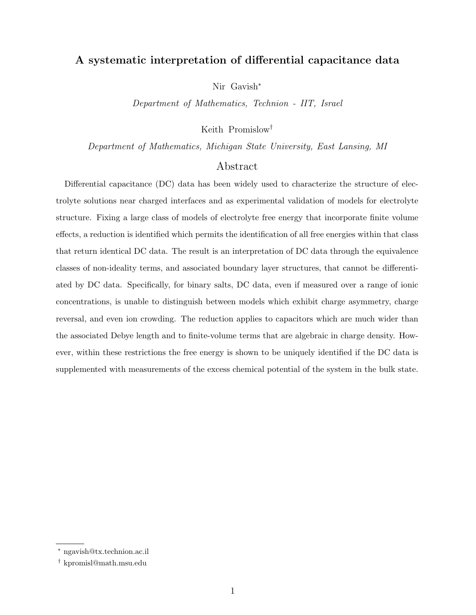# A systematic interpretation of differential capacitance data

Nir Gavish<sup>∗</sup>

Department of Mathematics, Technion - IIT, Israel

Keith Promislow†

Department of Mathematics, Michigan State University, East Lansing, MI

# Abstract

Differential capacitance (DC) data has been widely used to characterize the structure of electrolyte solutions near charged interfaces and as experimental validation of models for electrolyte structure. Fixing a large class of models of electrolyte free energy that incorporate finite volume effects, a reduction is identified which permits the identification of all free energies within that class that return identical DC data. The result is an interpretation of DC data through the equivalence classes of non-ideality terms, and associated boundary layer structures, that cannot be differentiated by DC data. Specifically, for binary salts, DC data, even if measured over a range of ionic concentrations, is unable to distinguish between models which exhibit charge asymmetry, charge reversal, and even ion crowding. The reduction applies to capacitors which are much wider than the associated Debye length and to finite-volume terms that are algebraic in charge density. However, within these restrictions the free energy is shown to be uniquely identified if the DC data is supplemented with measurements of the excess chemical potential of the system in the bulk state.

<sup>∗</sup> ngavish@tx.technion.ac.il

<sup>†</sup> kpromisl@math.msu.edu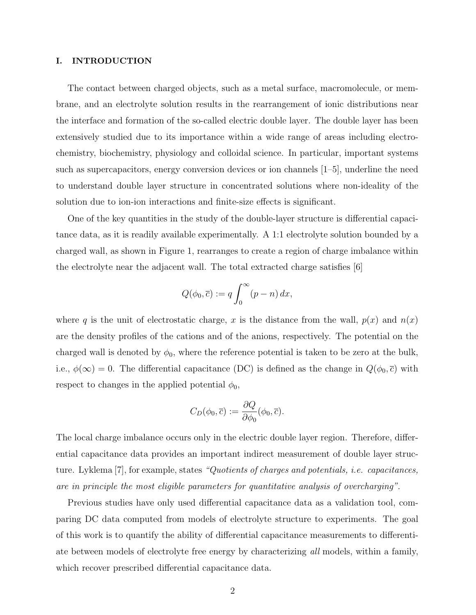# I. INTRODUCTION

The contact between charged objects, such as a metal surface, macromolecule, or membrane, and an electrolyte solution results in the rearrangement of ionic distributions near the interface and formation of the so-called electric double layer. The double layer has been extensively studied due to its importance within a wide range of areas including electrochemistry, biochemistry, physiology and colloidal science. In particular, important systems such as supercapacitors, energy conversion devices or ion channels [1–5], underline the need to understand double layer structure in concentrated solutions where non-ideality of the solution due to ion-ion interactions and finite-size effects is significant.

One of the key quantities in the study of the double-layer structure is differential capacitance data, as it is readily available experimentally. A 1:1 electrolyte solution bounded by a charged wall, as shown in Figure 1, rearranges to create a region of charge imbalance within the electrolyte near the adjacent wall. The total extracted charge satisfies [6]

$$
Q(\phi_0, \overline{c}) := q \int_0^\infty (p - n) \, dx,
$$

where q is the unit of electrostatic charge, x is the distance from the wall,  $p(x)$  and  $n(x)$ are the density profiles of the cations and of the anions, respectively. The potential on the charged wall is denoted by  $\phi_0$ , where the reference potential is taken to be zero at the bulk, i.e.,  $\phi(\infty) = 0$ . The differential capacitance (DC) is defined as the change in  $Q(\phi_0, \bar{c})$  with respect to changes in the applied potential  $\phi_0$ ,

$$
C_D(\phi_0, \overline{c}) := \frac{\partial Q}{\partial \phi_0}(\phi_0, \overline{c}).
$$

The local charge imbalance occurs only in the electric double layer region. Therefore, differential capacitance data provides an important indirect measurement of double layer structure. Lyklema [7], for example, states "Quotients of charges and potentials, i.e. capacitances, are in principle the most eligible parameters for quantitative analysis of overcharging".

Previous studies have only used differential capacitance data as a validation tool, comparing DC data computed from models of electrolyte structure to experiments. The goal of this work is to quantify the ability of differential capacitance measurements to differentiate between models of electrolyte free energy by characterizing all models, within a family, which recover prescribed differential capacitance data.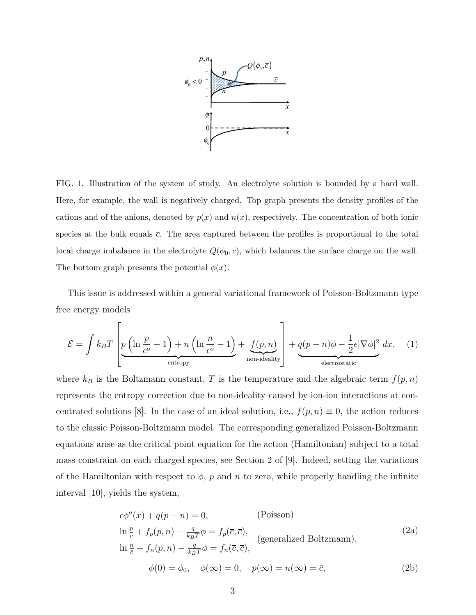

FIG. 1. Illustration of the system of study. An electrolyte solution is bounded by a hard wall. Here, for example, the wall is negatively charged. Top graph presents the density profiles of the cations and of the anions, denoted by  $p(x)$  and  $n(x)$ , respectively. The concentration of both ionic species at the bulk equals  $\bar{c}$ . The area captured between the profiles is proportional to the total local charge imbalance in the electrolyte  $Q(\phi_0, \bar{c})$ , which balances the surface charge on the wall. The bottom graph presents the potential  $\phi(x)$ .

This issue is addressed within a general variational framework of Poisson-Boltzmann type free energy models

$$
\mathcal{E} = \int k_B T \left[ \underbrace{p \left( \ln \frac{p}{c^o} - 1 \right) + n \left( \ln \frac{n}{c^o} - 1 \right)}_{\text{entropy}} + \underbrace{f(p, n)}_{\text{non-ideality}} \right] + \underbrace{q(p - n)\phi - \frac{1}{2} \epsilon |\nabla \phi|^2}_{\text{electrostatic}} dx, \quad (1)
$$

where  $k_B$  is the Boltzmann constant, T is the temperature and the algebraic term  $f(p, n)$ represents the entropy correction due to non-ideality caused by ion-ion interactions at concentrated solutions [8]. In the case of an ideal solution, i.e.,  $f(p, n) \equiv 0$ , the action reduces to the classic Poisson-Boltzmann model. The corresponding generalized Poisson-Boltzmann equations arise as the critical point equation for the action (Hamiltonian) subject to a total mass constraint on each charged species, see Section 2 of [9]. Indeed, setting the variations of the Hamiltonian with respect to  $\phi$ , p and n to zero, while properly handling the infinite interval [10], yields the system,

$$
\epsilon \phi''(x) + q(p - n) = 0,
$$
 (Poisson)  
\n
$$
\ln \frac{p}{\bar{c}} + f_p(p, n) + \frac{q}{k_B T} \phi = f_p(\bar{c}, \bar{c}),
$$
 (generalized Boltzmann),  
\n
$$
\ln \frac{n}{\bar{c}} + f_n(p, n) - \frac{q}{k_B T} \phi = f_n(\bar{c}, \bar{c}),
$$
 (generalized Boltzmann),  
\n
$$
\phi(0) = \phi_0, \quad \phi(\infty) = 0, \quad p(\infty) = n(\infty) = \bar{c},
$$
 (2b)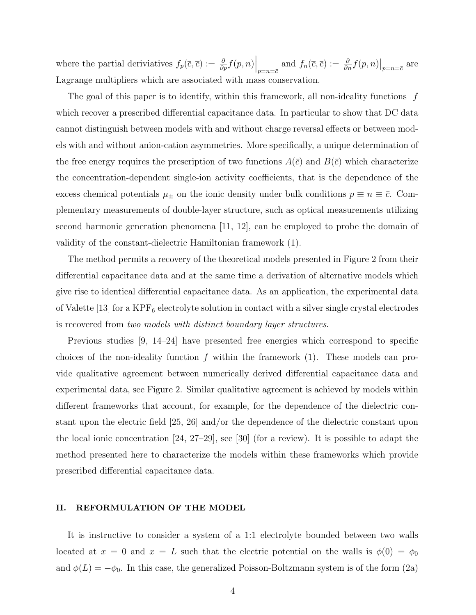where the partial deriviatives  $f_p(\bar{c}, \bar{c}) := \frac{\partial}{\partial p} f(p, n) \Big|_{p=n=\bar{c}}$  and  $f_n(\bar{c}, \bar{c}) := \frac{\partial}{\partial n} f(p, n) \Big|_{p=n=\bar{c}}$  are Lagrange multipliers which are associated with mass conservation.

The goal of this paper is to identify, within this framework, all non-ideality functions  $f$ which recover a prescribed differential capacitance data. In particular to show that DC data cannot distinguish between models with and without charge reversal effects or between models with and without anion-cation asymmetries. More specifically, a unique determination of the free energy requires the prescription of two functions  $A(\bar{c})$  and  $B(\bar{c})$  which characterize the concentration-dependent single-ion activity coefficients, that is the dependence of the excess chemical potentials  $\mu_{\pm}$  on the ionic density under bulk conditions  $p \equiv n \equiv \bar{c}$ . Complementary measurements of double-layer structure, such as optical measurements utilizing second harmonic generation phenomena [11, 12], can be employed to probe the domain of validity of the constant-dielectric Hamiltonian framework (1).

The method permits a recovery of the theoretical models presented in Figure 2 from their differential capacitance data and at the same time a derivation of alternative models which give rise to identical differential capacitance data. As an application, the experimental data of Valette [13] for a  $KPF_6$  electrolyte solution in contact with a silver single crystal electrodes is recovered from two models with distinct boundary layer structures.

Previous studies [9, 14–24] have presented free energies which correspond to specific choices of the non-ideality function  $f$  within the framework  $(1)$ . These models can provide qualitative agreement between numerically derived differential capacitance data and experimental data, see Figure 2. Similar qualitative agreement is achieved by models within different frameworks that account, for example, for the dependence of the dielectric constant upon the electric field [25, 26] and/or the dependence of the dielectric constant upon the local ionic concentration [24, 27–29], see [30] (for a review). It is possible to adapt the method presented here to characterize the models within these frameworks which provide prescribed differential capacitance data.

# II. REFORMULATION OF THE MODEL

It is instructive to consider a system of a 1:1 electrolyte bounded between two walls located at  $x = 0$  and  $x = L$  such that the electric potential on the walls is  $\phi(0) = \phi_0$ and  $\phi(L) = -\phi_0$ . In this case, the generalized Poisson-Boltzmann system is of the form (2a)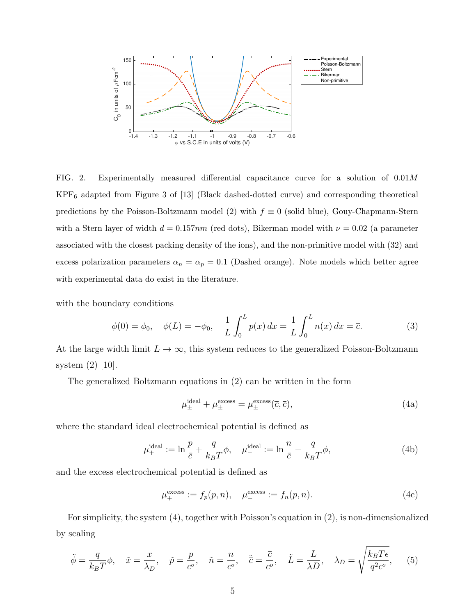

FIG. 2. Experimentally measured differential capacitance curve for a solution of 0.01M  $KPF_6$  adapted from Figure 3 of [13] (Black dashed-dotted curve) and corresponding theoretical predictions by the Poisson-Boltzmann model (2) with  $f \equiv 0$  (solid blue), Gouy-Chapmann-Stern with a Stern layer of width  $d = 0.157nm$  (red dots), Bikerman model with  $\nu = 0.02$  (a parameter associated with the closest packing density of the ions), and the non-primitive model with (32) and excess polarization parameters  $\alpha_n = \alpha_p = 0.1$  (Dashed orange). Note models which better agree with experimental data do exist in the literature.

with the boundary conditions

$$
\phi(0) = \phi_0, \quad \phi(L) = -\phi_0, \quad \frac{1}{L} \int_0^L p(x) \, dx = \frac{1}{L} \int_0^L n(x) \, dx = \overline{c}.
$$
 (3)

At the large width limit  $L \to \infty$ , this system reduces to the generalized Poisson-Boltzmann system (2) [10].

The generalized Boltzmann equations in (2) can be written in the form

$$
\mu_{\pm}^{\text{ideal}} + \mu_{\pm}^{\text{excess}} = \mu_{\pm}^{\text{excess}}(\overline{c}, \overline{c}), \tag{4a}
$$

where the standard ideal electrochemical potential is defined as

$$
\mu_{+}^{\text{ideal}} := \ln \frac{p}{\bar{c}} + \frac{q}{k_B T} \phi, \quad \mu_{-}^{\text{ideal}} := \ln \frac{n}{\bar{c}} - \frac{q}{k_B T} \phi,
$$
\n(4b)

and the excess electrochemical potential is defined as

$$
\mu_{+}^{\text{excess}} := f_p(p, n), \quad \mu_{-}^{\text{excess}} := f_n(p, n). \tag{4c}
$$

For simplicity, the system (4), together with Poisson's equation in (2), is non-dimensionalized by scaling

$$
\tilde{\phi} = \frac{q}{k_B T} \phi, \quad \tilde{x} = \frac{x}{\lambda_D}, \quad \tilde{p} = \frac{p}{c^o}, \quad \tilde{n} = \frac{n}{c^o}, \quad \tilde{\bar{c}} = \frac{\bar{c}}{c^o}, \quad \tilde{L} = \frac{L}{\lambda D}, \quad \lambda_D = \sqrt{\frac{k_B T \epsilon}{q^2 c^o}}, \quad (5)
$$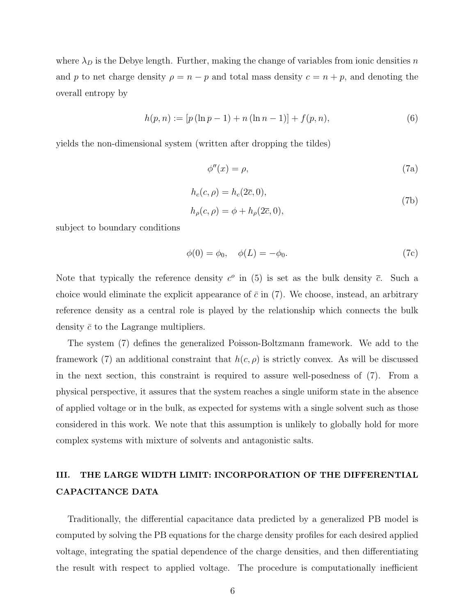where  $\lambda_D$  is the Debye length. Further, making the change of variables from ionic densities n and p to net charge density  $\rho = n - p$  and total mass density  $c = n + p$ , and denoting the overall entropy by

$$
h(p,n) := [p(\ln p - 1) + n(\ln n - 1)] + f(p,n), \tag{6}
$$

yields the non-dimensional system (written after dropping the tildes)

$$
\phi''(x) = \rho,\tag{7a}
$$

$$
h_c(c,\rho) = h_c(2\overline{c},0),\tag{7b}
$$

$$
h_{\rho}(c,\rho) = \phi + h_{\rho}(2\overline{c},0),
$$

subject to boundary conditions

$$
\phi(0) = \phi_0, \quad \phi(L) = -\phi_0. \tag{7c}
$$

Note that typically the reference density  $c^{\circ}$  in (5) is set as the bulk density  $\bar{c}$ . Such a choice would eliminate the explicit appearance of  $\bar{c}$  in (7). We choose, instead, an arbitrary reference density as a central role is played by the relationship which connects the bulk density  $\bar{c}$  to the Lagrange multipliers.

The system (7) defines the generalized Poisson-Boltzmann framework. We add to the framework (7) an additional constraint that  $h(c, \rho)$  is strictly convex. As will be discussed in the next section, this constraint is required to assure well-posedness of (7). From a physical perspective, it assures that the system reaches a single uniform state in the absence of applied voltage or in the bulk, as expected for systems with a single solvent such as those considered in this work. We note that this assumption is unlikely to globally hold for more complex systems with mixture of solvents and antagonistic salts.

# III. THE LARGE WIDTH LIMIT: INCORPORATION OF THE DIFFERENTIAL CAPACITANCE DATA

Traditionally, the differential capacitance data predicted by a generalized PB model is computed by solving the PB equations for the charge density profiles for each desired applied voltage, integrating the spatial dependence of the charge densities, and then differentiating the result with respect to applied voltage. The procedure is computationally inefficient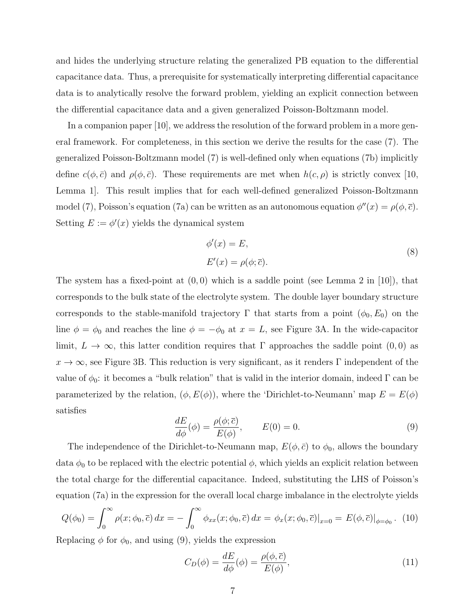and hides the underlying structure relating the generalized PB equation to the differential capacitance data. Thus, a prerequisite for systematically interpreting differential capacitance data is to analytically resolve the forward problem, yielding an explicit connection between the differential capacitance data and a given generalized Poisson-Boltzmann model.

In a companion paper [10], we address the resolution of the forward problem in a more general framework. For completeness, in this section we derive the results for the case (7). The generalized Poisson-Boltzmann model (7) is well-defined only when equations (7b) implicitly define  $c(\phi, \bar{c})$  and  $\rho(\phi, \bar{c})$ . These requirements are met when  $h(c, \rho)$  is strictly convex [10, Lemma 1]. This result implies that for each well-defined generalized Poisson-Boltzmann model (7), Poisson's equation (7a) can be written as an autonomous equation  $\phi''(x) = \rho(\phi, \overline{c})$ . Setting  $E := \phi'(x)$  yields the dynamical system

$$
\phi'(x) = E,
$$
  
\n
$$
E'(x) = \rho(\phi; \overline{c}).
$$
\n(8)

The system has a fixed-point at  $(0,0)$  which is a saddle point (see Lemma 2 in [10]), that corresponds to the bulk state of the electrolyte system. The double layer boundary structure corresponds to the stable-manifold trajectory  $\Gamma$  that starts from a point  $(\phi_0, E_0)$  on the line  $\phi = \phi_0$  and reaches the line  $\phi = -\phi_0$  at  $x = L$ , see Figure 3A. In the wide-capacitor limit,  $L \to \infty$ , this latter condition requires that Γ approaches the saddle point (0,0) as  $x \to \infty$ , see Figure 3B. This reduction is very significant, as it renders Γ independent of the value of  $\phi_0$ : it becomes a "bulk relation" that is valid in the interior domain, indeed  $\Gamma$  can be parameterized by the relation,  $(\phi, E(\phi))$ , where the 'Dirichlet-to-Neumann' map  $E = E(\phi)$ satisfies

$$
\frac{dE}{d\phi}(\phi) = \frac{\rho(\phi; \bar{c})}{E(\phi)}, \qquad E(0) = 0.
$$
\n(9)

The independence of the Dirichlet-to-Neumann map,  $E(\phi, \bar{c})$  to  $\phi_0$ , allows the boundary data  $\phi_0$  to be replaced with the electric potential  $\phi$ , which yields an explicit relation between the total charge for the differential capacitance. Indeed, substituting the LHS of Poisson's equation (7a) in the expression for the overall local charge imbalance in the electrolyte yields

$$
Q(\phi_0) = \int_0^\infty \rho(x; \phi_0, \overline{c}) dx = -\int_0^\infty \phi_{xx}(x; \phi_0, \overline{c}) dx = \phi_x(x; \phi_0, \overline{c})|_{x=0} = E(\phi, \overline{c})|_{\phi = \phi_0}.
$$
 (10)

Replacing  $\phi$  for  $\phi_0$ , and using (9), yields the expression

$$
C_D(\phi) = \frac{dE}{d\phi}(\phi) = \frac{\rho(\phi, \overline{c})}{E(\phi)},\tag{11}
$$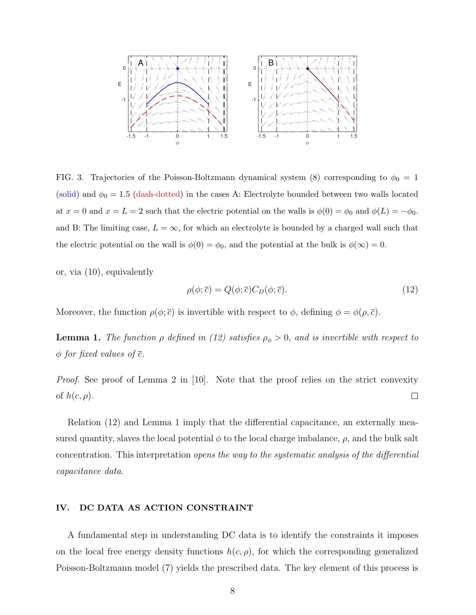

FIG. 3. Trajectories of the Poisson-Boltzmann dynamical system (8) corresponding to  $\phi_0 = 1$ (solid) and  $\phi_0 = 1.5$  (dash-dotted) in the cases A: Electrolyte bounded between two walls located at  $x = 0$  and  $x = L = 2$  such that the electric potential on the walls is  $\phi(0) = \phi_0$  and  $\phi(L) = -\phi_0$ . and B: The limiting case,  $L = \infty$ , for which an electrolyte is bounded by a charged wall such that the electric potential on the wall is  $\phi(0) = \phi_0$ , and the potential at the bulk is  $\phi(\infty) = 0$ .

or, via (10), equivalently

$$
\rho(\phi; \overline{c}) = Q(\phi; \overline{c}) C_D(\phi; \overline{c}). \tag{12}
$$

Moreover, the function  $\rho(\phi; \bar{c})$  is invertible with respect to  $\phi$ , defining  $\phi = \phi(\rho, \bar{c})$ .

**Lemma 1.** The function  $\rho$  defined in (12) satisfies  $\rho_{\phi} > 0$ , and is invertible with respect to  $\phi$  for fixed values of  $\overline{c}$ .

*Proof.* See proof of Lemma 2 in [10]. Note that the proof relies on the strict convexity of  $h(c, \rho)$ .  $\Box$ 

Relation (12) and Lemma 1 imply that the differential capacitance, an externally measured quantity, slaves the local potential  $\phi$  to the local charge imbalance,  $\rho$ , and the bulk salt concentration. This interpretation opens the way to the systematic analysis of the differential capacitance data.

# IV. DC DATA AS ACTION CONSTRAINT

A fundamental step in understanding DC data is to identify the constraints it imposes on the local free energy density functions  $h(c, \rho)$ , for which the corresponding generalized Poisson-Boltzmann model (7) yields the prescribed data. The key element of this process is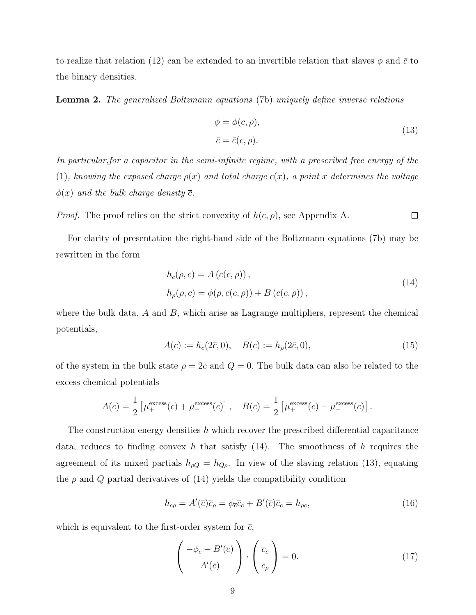to realize that relation (12) can be extended to an invertible relation that slaves  $\phi$  and  $\bar{c}$  to the binary densities.

Lemma 2. The generalized Boltzmann equations (7b) uniquely define inverse relations

$$
\phi = \phi(c, \rho),
$$
  
\n
$$
\bar{c} = \bar{c}(c, \rho).
$$
\n(13)

In particular,for a capacitor in the semi-infinite regime, with a prescribed free energy of the (1), knowing the exposed charge  $\rho(x)$  and total charge  $c(x)$ , a point x determines the voltage  $\phi(x)$  and the bulk charge density  $\overline{c}$ .

*Proof.* The proof relies on the strict convexity of  $h(c, \rho)$ , see Appendix A.  $\Box$ 

For clarity of presentation the right-hand side of the Boltzmann equations (7b) may be rewritten in the form

$$
h_c(\rho, c) = A(\overline{c}(c, \rho)),
$$
  
\n
$$
h_{\rho}(\rho, c) = \phi(\rho, \overline{c}(c, \rho)) + B(\overline{c}(c, \rho)),
$$
\n(14)

where the bulk data,  $A$  and  $B$ , which arise as Lagrange multipliers, represent the chemical potentials,

$$
A(\overline{c}) := h_c(2\overline{c}, 0), \quad B(\overline{c}) := h_\rho(2\overline{c}, 0), \tag{15}
$$

of the system in the bulk state  $\rho = 2\bar{c}$  and  $Q = 0$ . The bulk data can also be related to the excess chemical potentials

$$
A(\overline{c}) = \frac{1}{2} \left[ \mu_{+}^{\text{excess}}(\overline{c}) + \mu_{-}^{\text{excess}}(\overline{c}) \right], \quad B(\overline{c}) = \frac{1}{2} \left[ \mu_{+}^{\text{excess}}(\overline{c}) - \mu_{-}^{\text{excess}}(\overline{c}) \right].
$$

The construction energy densities  $h$  which recover the prescribed differential capacitance data, reduces to finding convex h that satisfy  $(14)$ . The smoothness of h requires the agreement of its mixed partials  $h_{\rho Q} = h_{Q\rho}$ . In view of the slaving relation (13), equating the  $\rho$  and  $Q$  partial derivatives of (14) yields the compatibility condition

$$
h_{c\rho} = A'(\overline{c})\overline{c}_{\rho} = \phi_{\overline{c}}\overline{c}_{c} + B'(\overline{c})\overline{c}_{c} = h_{\rho c},\tag{16}
$$

which is equivalent to the first-order system for  $\bar{c}$ ,

$$
\begin{pmatrix} -\phi_{\overline{c}} - B'(\overline{c}) \\ A'(\overline{c}) \end{pmatrix} \cdot \begin{pmatrix} \overline{c}_c \\ \overline{c}_\rho \end{pmatrix} = 0.
$$
 (17)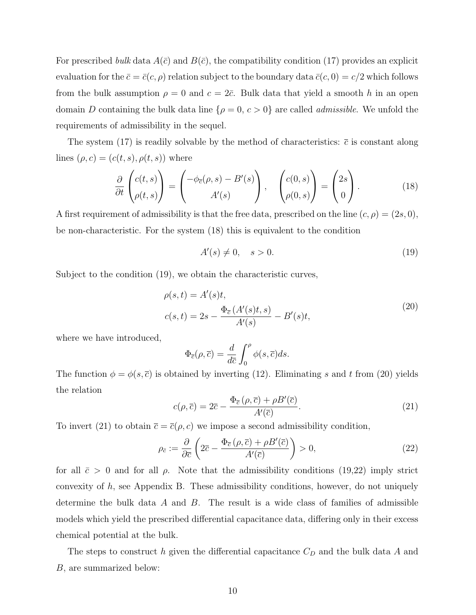For prescribed bulk data  $A(\bar{c})$  and  $B(\bar{c})$ , the compatibility condition (17) provides an explicit evaluation for the  $\bar{c} = \bar{c}(c, \rho)$  relation subject to the boundary data  $\bar{c}(c, 0) = c/2$  which follows from the bulk assumption  $\rho = 0$  and  $c = 2\bar{c}$ . Bulk data that yield a smooth h in an open domain D containing the bulk data line  $\{\rho = 0, c > 0\}$  are called *admissible*. We unfold the requirements of admissibility in the sequel.

The system (17) is readily solvable by the method of characteristics:  $\bar{c}$  is constant along lines  $(\rho, c) = (c(t, s), \rho(t, s))$  where

$$
\frac{\partial}{\partial t} \begin{pmatrix} c(t,s) \\ \rho(t,s) \end{pmatrix} = \begin{pmatrix} -\phi_{\overline{c}}(\rho,s) - B'(s) \\ A'(s) \end{pmatrix}, \quad \begin{pmatrix} c(0,s) \\ \rho(0,s) \end{pmatrix} = \begin{pmatrix} 2s \\ 0 \end{pmatrix}.
$$
 (18)

A first requirement of admissibility is that the free data, prescribed on the line  $(c, \rho) = (2s, 0)$ , be non-characteristic. For the system (18) this is equivalent to the condition

$$
A'(s) \neq 0, \quad s > 0. \tag{19}
$$

Subject to the condition (19), we obtain the characteristic curves,

$$
\rho(s,t) = A'(s)t,\nc(s,t) = 2s - \frac{\Phi_{\overline{c}}(A'(s)t, s)}{A'(s)} - B'(s)t,
$$
\n(20)

where we have introduced,

$$
\Phi_{\overline{c}}(\rho,\overline{c}) = \frac{d}{d\overline{c}} \int_0^{\rho} \phi(s,\overline{c}) ds.
$$

The function  $\phi = \phi(s, \overline{c})$  is obtained by inverting (12). Eliminating s and t from (20) yields the relation

$$
c(\rho, \overline{c}) = 2\overline{c} - \frac{\Phi_{\overline{c}}(\rho, \overline{c}) + \rho B'(\overline{c})}{A'(\overline{c})}.
$$
\n(21)

To invert (21) to obtain  $\bar{c} = \bar{c}(\rho, c)$  we impose a second admissibility condition,

$$
\rho_{\bar{c}} := \frac{\partial}{\partial \bar{c}} \left( 2\bar{c} - \frac{\Phi_{\bar{c}}(\rho, \bar{c}) + \rho B'(\bar{c})}{A'(\bar{c})} \right) > 0, \tag{22}
$$

for all  $\bar{c} > 0$  and for all  $\rho$ . Note that the admissibility conditions (19,22) imply strict convexity of  $h$ , see Appendix B. These admissibility conditions, however, do not uniquely determine the bulk data  $A$  and  $B$ . The result is a wide class of families of admissible models which yield the prescribed differential capacitance data, differing only in their excess chemical potential at the bulk.

The steps to construct h given the differential capacitance  $C_D$  and the bulk data A and B, are summarized below: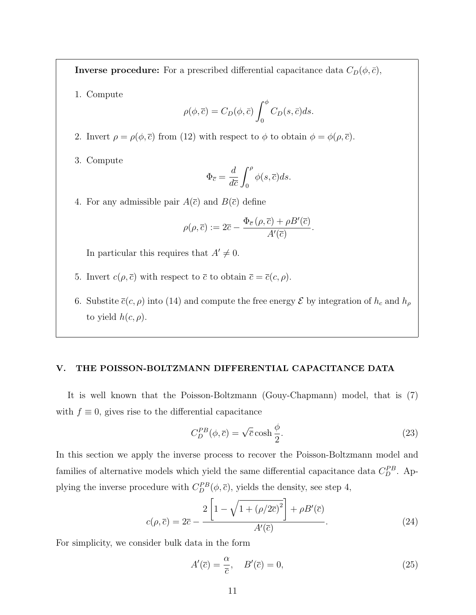**Inverse procedure:** For a prescribed differential capacitance data  $C_D(\phi, \bar{c})$ ,

1. Compute

$$
\rho(\phi,\overline{c}) = C_D(\phi,\overline{c}) \int_0^{\phi} C_D(s,\overline{c}) ds.
$$

- 2. Invert  $\rho = \rho(\phi, \overline{c})$  from (12) with respect to  $\phi$  to obtain  $\phi = \phi(\rho, \overline{c})$ .
- 3. Compute

$$
\Phi_{\overline{c}} = \frac{d}{d\overline{c}} \int_0^\rho \phi(s, \overline{c}) ds.
$$

4. For any admissible pair  $A(\bar{c})$  and  $B(\bar{c})$  define

$$
\rho(\rho,\overline{c}) := 2\overline{c} - \frac{\Phi_{\overline{c}}(\rho,\overline{c}) + \rho B'(\overline{c})}{A'(\overline{c})}.
$$

In particular this requires that  $A' \neq 0$ .

- 5. Invert  $c(\rho, \overline{c})$  with respect to  $\overline{c}$  to obtain  $\overline{c} = \overline{c}(c, \rho)$ .
- 6. Substite  $\overline{c}(c, \rho)$  into (14) and compute the free energy  $\mathcal E$  by integration of  $h_c$  and  $h_\rho$ to yield  $h(c, \rho)$ .

#### V. THE POISSON-BOLTZMANN DIFFERENTIAL CAPACITANCE DATA

It is well known that the Poisson-Boltzmann (Gouy-Chapmann) model, that is (7) with  $f \equiv 0$ , gives rise to the differential capacitance

$$
C_D^{PB}(\phi,\overline{c}) = \sqrt{\overline{c}} \cosh\frac{\phi}{2}.
$$
 (23)

In this section we apply the inverse process to recover the Poisson-Boltzmann model and families of alternative models which yield the same differential capacitance data  $C_D^{PB}$ . Applying the inverse procedure with  $C_D^{PB}(\phi,\overline{c})$ , yields the density, see step 4,

$$
c(\rho,\overline{c}) = 2\overline{c} - \frac{2\left[1 - \sqrt{1 + (\rho/2\overline{c})^2}\right] + \rho B'(\overline{c})}{A'(\overline{c})}.
$$
\n(24)

For simplicity, we consider bulk data in the form

$$
A'(\overline{c}) = \frac{\alpha}{\overline{c}}, \quad B'(\overline{c}) = 0,\tag{25}
$$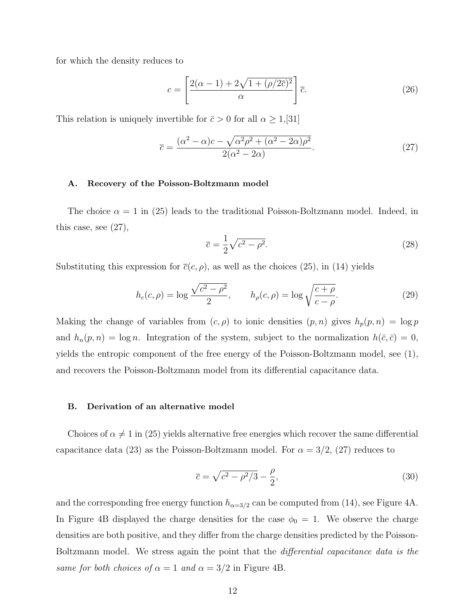for which the density reduces to

$$
c = \left[\frac{2(\alpha - 1) + 2\sqrt{1 + (\rho/2\overline{c})^2}}{\alpha}\right]\overline{c}.
$$
 (26)

This relation is uniquely invertible for  $\bar{c} > 0$  for all  $\alpha \geq 1$ ,[31]

$$
\overline{c} = \frac{(\alpha^2 - \alpha)c - \sqrt{\alpha^2 \rho^2 + (\alpha^2 - 2\alpha)\rho^2}}{2(\alpha^2 - 2\alpha)}.
$$
\n(27)

# A. Recovery of the Poisson-Boltzmann model

The choice  $\alpha = 1$  in (25) leads to the traditional Poisson-Boltzmann model. Indeed, in this case, see (27),

$$
\overline{c} = \frac{1}{2}\sqrt{c^2 - \rho^2}.\tag{28}
$$

Substituting this expression for  $\bar{c}(c, \rho)$ , as well as the choices (25), in (14) yields

$$
h_c(c,\rho) = \log \frac{\sqrt{c^2 - \rho^2}}{2}, \qquad h_\rho(c,\rho) = \log \sqrt{\frac{c+\rho}{c-\rho}}.
$$
 (29)

Making the change of variables from  $(c, \rho)$  to ionic densities  $(p, n)$  gives  $h_p(p, n) = \log p$ and  $h_n(p, n) = \log n$ . Integration of the system, subject to the normalization  $h(\bar{c}, \bar{c}) = 0$ , yields the entropic component of the free energy of the Poisson-Boltzmann model, see (1), and recovers the Poisson-Boltzmann model from its differential capacitance data.

# B. Derivation of an alternative model

Choices of  $\alpha \neq 1$  in (25) yields alternative free energies which recover the same differential capacitance data (23) as the Poisson-Boltzmann model. For  $\alpha = 3/2$ , (27) reduces to

$$
\bar{c} = \sqrt{c^2 - \rho^2/3} - \frac{\rho}{2},\tag{30}
$$

and the corresponding free energy function  $h_{\alpha=3/2}$  can be computed from (14), see Figure 4A. In Figure 4B displayed the charge densities for the case  $\phi_0 = 1$ . We observe the charge densities are both positive, and they differ from the charge densities predicted by the Poisson-Boltzmann model. We stress again the point that the differential capacitance data is the same for both choices of  $\alpha = 1$  and  $\alpha = 3/2$  in Figure 4B.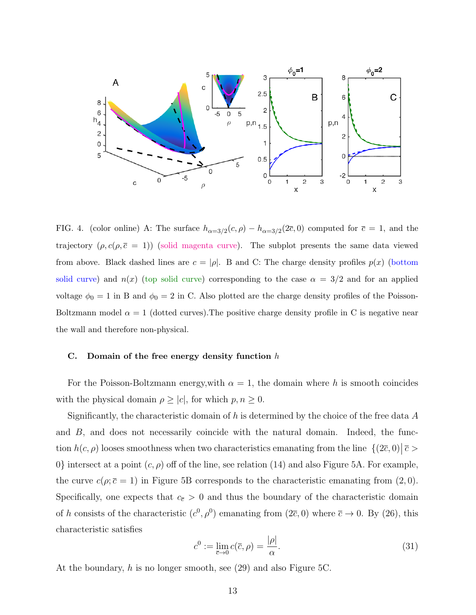

FIG. 4. (color online) A: The surface  $h_{\alpha=3/2}(c,\rho) - h_{\alpha=3/2}(2\bar{c},0)$  computed for  $\bar{c} = 1$ , and the trajectory  $(\rho, c(\rho, \bar{c} = 1))$  (solid magenta curve). The subplot presents the same data viewed from above. Black dashed lines are  $c = |\rho|$ . B and C: The charge density profiles  $p(x)$  (bottom solid curve) and  $n(x)$  (top solid curve) corresponding to the case  $\alpha = 3/2$  and for an applied voltage  $\phi_0 = 1$  in B and  $\phi_0 = 2$  in C. Also plotted are the charge density profiles of the Poisson-Boltzmann model  $\alpha = 1$  (dotted curves). The positive charge density profile in C is negative near the wall and therefore non-physical.

#### C. Domain of the free energy density function  $h$

For the Poisson-Boltzmann energy, with  $\alpha = 1$ , the domain where h is smooth coincides with the physical domain  $\rho \geq |c|$ , for which  $p, n \geq 0$ .

Significantly, the characteristic domain of h is determined by the choice of the free data  $A$ and B, and does not necessarily coincide with the natural domain. Indeed, the function  $h(c, \rho)$  looses smoothness when two characteristics emanating from the line  $\{(2\bar{c}, 0) | \bar{c} >$ 0} intersect at a point  $(c, \rho)$  off of the line, see relation (14) and also Figure 5A. For example, the curve  $c(\rho; \bar{c} = 1)$  in Figure 5B corresponds to the characteristic emanating from  $(2, 0)$ . Specifically, one expects that  $c_{\bar{c}} > 0$  and thus the boundary of the characteristic domain of h consists of the characteristic  $(c^0, \rho^0)$  emanating from  $(2\bar{c}, 0)$  where  $\bar{c} \to 0$ . By  $(26)$ , this characteristic satisfies

$$
c^0 := \lim_{\overline{c} \to 0} c(\overline{c}, \rho) = \frac{|\rho|}{\alpha}.
$$
 (31)

At the boundary, h is no longer smooth, see (29) and also Figure 5C.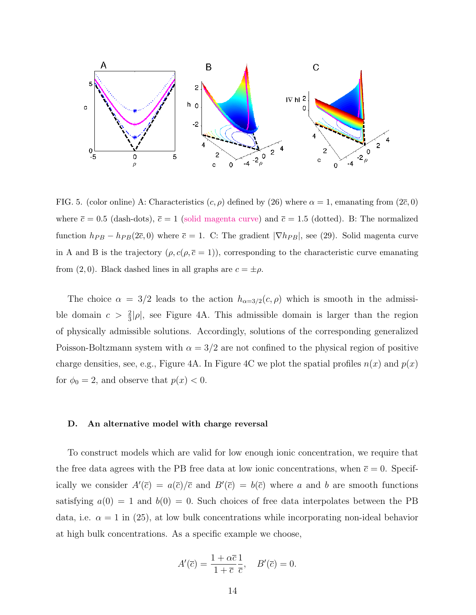

FIG. 5. (color online) A: Characteristics  $(c, \rho)$  defined by (26) where  $\alpha = 1$ , emanating from (2 $\bar{c}$ , 0) where  $\bar{c} = 0.5$  (dash-dots),  $\bar{c} = 1$  (solid magenta curve) and  $\bar{c} = 1.5$  (dotted). B: The normalized function  $h_{PB} - h_{PB}(2\bar{c}, 0)$  where  $\bar{c} = 1$ . C: The gradient  $|\nabla h_{PB}|$ , see (29). Solid magenta curve in A and B is the trajectory  $(\rho, c(\rho, \bar{c} = 1))$ , corresponding to the characteristic curve emanating from (2,0). Black dashed lines in all graphs are  $c = \pm \rho$ .

The choice  $\alpha = 3/2$  leads to the action  $h_{\alpha=3/2}(c, \rho)$  which is smooth in the admissible domain  $c > \frac{2}{3}|\rho|$ , see Figure 4A. This admissible domain is larger than the region of physically admissible solutions. Accordingly, solutions of the corresponding generalized Poisson-Boltzmann system with  $\alpha = 3/2$  are not confined to the physical region of positive charge densities, see, e.g., Figure 4A. In Figure 4C we plot the spatial profiles  $n(x)$  and  $p(x)$ for  $\phi_0 = 2$ , and observe that  $p(x) < 0$ .

#### D. An alternative model with charge reversal

To construct models which are valid for low enough ionic concentration, we require that the free data agrees with the PB free data at low ionic concentrations, when  $\bar{c} = 0$ . Specifically we consider  $A'(\bar{c}) = a(\bar{c})/\bar{c}$  and  $B'(\bar{c}) = b(\bar{c})$  where a and b are smooth functions satisfying  $a(0) = 1$  and  $b(0) = 0$ . Such choices of free data interpolates between the PB data, i.e.  $\alpha = 1$  in (25), at low bulk concentrations while incorporating non-ideal behavior at high bulk concentrations. As a specific example we choose,

$$
A'(\overline{c}) = \frac{1 + \alpha \overline{c}}{1 + \overline{c}} \frac{1}{\overline{c}}, \quad B'(\overline{c}) = 0.
$$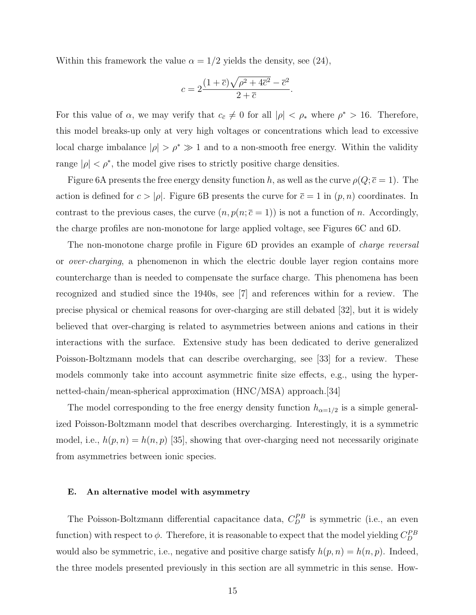Within this framework the value  $\alpha = 1/2$  yields the density, see (24),

$$
c = 2\frac{(1+\overline{c})\sqrt{\rho^2 + 4\overline{c}^2} - \overline{c}^2}{2+\overline{c}}
$$

.

For this value of  $\alpha$ , we may verify that  $c_{\bar{c}} \neq 0$  for all  $|\rho| < \rho_*$  where  $\rho^* > 16$ . Therefore, this model breaks-up only at very high voltages or concentrations which lead to excessive local charge imbalance  $|\rho| > \rho^* \gg 1$  and to a non-smooth free energy. Within the validity range  $|\rho| < \rho^*$ , the model give rises to strictly positive charge densities.

Figure 6A presents the free energy density function h, as well as the curve  $\rho(Q; \bar{c} = 1)$ . The action is defined for  $c > |\rho|$ . Figure 6B presents the curve for  $\bar{c} = 1$  in  $(p, n)$  coordinates. In contrast to the previous cases, the curve  $(n, p(n; \bar{c} = 1))$  is not a function of n. Accordingly, the charge profiles are non-monotone for large applied voltage, see Figures 6C and 6D.

The non-monotone charge profile in Figure 6D provides an example of *charge reversal* or over-charging, a phenomenon in which the electric double layer region contains more countercharge than is needed to compensate the surface charge. This phenomena has been recognized and studied since the 1940s, see [7] and references within for a review. The precise physical or chemical reasons for over-charging are still debated [32], but it is widely believed that over-charging is related to asymmetries between anions and cations in their interactions with the surface. Extensive study has been dedicated to derive generalized Poisson-Boltzmann models that can describe overcharging, see [33] for a review. These models commonly take into account asymmetric finite size effects, e.g., using the hypernetted-chain/mean-spherical approximation (HNC/MSA) approach.[34]

The model corresponding to the free energy density function  $h_{\alpha=1/2}$  is a simple generalized Poisson-Boltzmann model that describes overcharging. Interestingly, it is a symmetric model, i.e.,  $h(p, n) = h(n, p)$  [35], showing that over-charging need not necessarily originate from asymmetries between ionic species.

#### E. An alternative model with asymmetry

The Poisson-Boltzmann differential capacitance data,  $C_D^{PB}$  is symmetric (i.e., an even function) with respect to  $\phi$ . Therefore, it is reasonable to expect that the model yielding  $C_D^{PB}$ would also be symmetric, i.e., negative and positive charge satisfy  $h(p, n) = h(n, p)$ . Indeed, the three models presented previously in this section are all symmetric in this sense. How-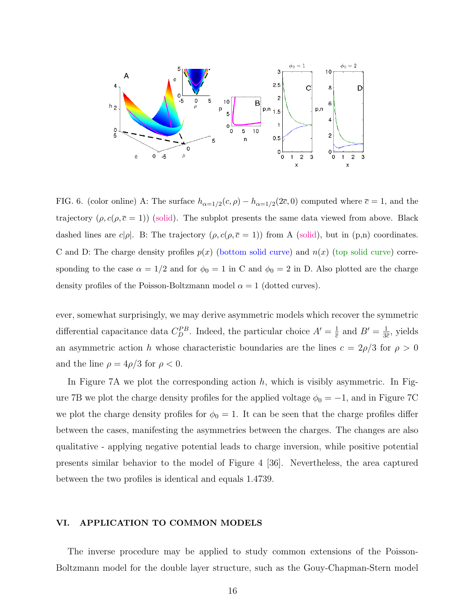

FIG. 6. (color online) A: The surface  $h_{\alpha=1/2}(c,\rho) - h_{\alpha=1/2}(2\bar{c},0)$  computed where  $\bar{c} = 1$ , and the trajectory  $(\rho, c(\rho, \bar{c} = 1))$  (solid). The subplot presents the same data viewed from above. Black dashed lines are  $c|\rho|$ . B: The trajectory  $(\rho, c(\rho, \bar{c} = 1))$  from A (solid), but in (p,n) coordinates. C and D: The charge density profiles  $p(x)$  (bottom solid curve) and  $n(x)$  (top solid curve) corresponding to the case  $\alpha = 1/2$  and for  $\phi_0 = 1$  in C and  $\phi_0 = 2$  in D. Also plotted are the charge density profiles of the Poisson-Boltzmann model  $\alpha = 1$  (dotted curves).

ever, somewhat surprisingly, we may derive asymmetric models which recover the symmetric differential capacitance data  $C_D^{PB}$ . Indeed, the particular choice  $A' = \frac{1}{\overline{c}}$  $\frac{1}{\overline{c}}$  and  $B' = \frac{1}{3\overline{c}}$  $\frac{1}{3\overline{c}}$ , yields an asymmetric action h whose characteristic boundaries are the lines  $c = 2\rho/3$  for  $\rho > 0$ and the line  $\rho = 4\rho/3$  for  $\rho < 0$ .

In Figure 7A we plot the corresponding action  $h$ , which is visibly asymmetric. In Figure 7B we plot the charge density profiles for the applied voltage  $\phi_0 = -1$ , and in Figure 7C we plot the charge density profiles for  $\phi_0 = 1$ . It can be seen that the charge profiles differ between the cases, manifesting the asymmetries between the charges. The changes are also qualitative - applying negative potential leads to charge inversion, while positive potential presents similar behavior to the model of Figure 4 [36]. Nevertheless, the area captured between the two profiles is identical and equals 1.4739.

# VI. APPLICATION TO COMMON MODELS

The inverse procedure may be applied to study common extensions of the Poisson-Boltzmann model for the double layer structure, such as the Gouy-Chapman-Stern model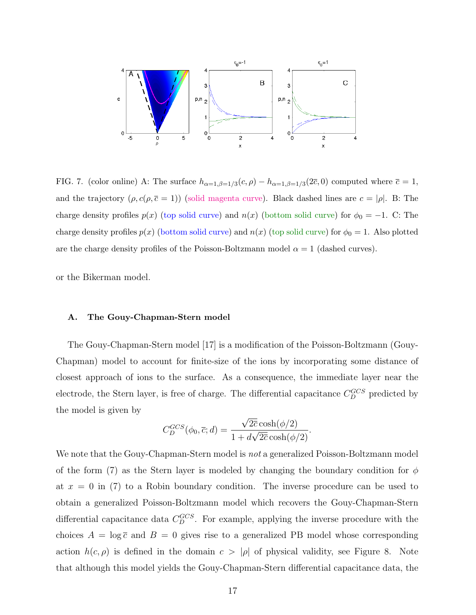

FIG. 7. (color online) A: The surface  $h_{\alpha=1,\beta=1/3}(c,\rho) - h_{\alpha=1,\beta=1/3}(2\overline{c},0)$  computed where  $\overline{c}=1$ , and the trajectory  $(\rho, c(\rho, \bar{c} = 1))$  (solid magenta curve). Black dashed lines are  $c = |\rho|$ . B: The charge density profiles  $p(x)$  (top solid curve) and  $n(x)$  (bottom solid curve) for  $\phi_0 = -1$ . C: The charge density profiles  $p(x)$  (bottom solid curve) and  $n(x)$  (top solid curve) for  $\phi_0 = 1$ . Also plotted are the charge density profiles of the Poisson-Boltzmann model  $\alpha = 1$  (dashed curves).

or the Bikerman model.

#### A. The Gouy-Chapman-Stern model

The Gouy-Chapman-Stern model [17] is a modification of the Poisson-Boltzmann (Gouy-Chapman) model to account for finite-size of the ions by incorporating some distance of closest approach of ions to the surface. As a consequence, the immediate layer near the electrode, the Stern layer, is free of charge. The differential capacitance  $C_{D}^{GCS}$  predicted by the model is given by √

$$
C_D^{GCS}(\phi_0, \overline{c}; d) = \frac{\sqrt{2\overline{c}}\cosh(\phi/2)}{1 + d\sqrt{2\overline{c}}\cosh(\phi/2)}.
$$

We note that the Gouy-Chapman-Stern model is not a generalized Poisson-Boltzmann model of the form (7) as the Stern layer is modeled by changing the boundary condition for  $\phi$ at  $x = 0$  in (7) to a Robin boundary condition. The inverse procedure can be used to obtain a generalized Poisson-Boltzmann model which recovers the Gouy-Chapman-Stern differential capacitance data  $C_D^{GCS}$ . For example, applying the inverse procedure with the choices  $A = \log \overline{c}$  and  $B = 0$  gives rise to a generalized PB model whose corresponding action  $h(c, \rho)$  is defined in the domain  $c > |\rho|$  of physical validity, see Figure 8. Note that although this model yields the Gouy-Chapman-Stern differential capacitance data, the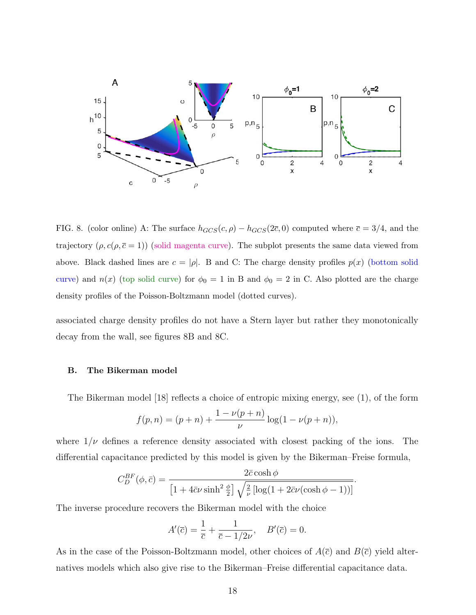

FIG. 8. (color online) A: The surface  $h_{GCS}(c, \rho) - h_{GCS}(2\overline{c}, 0)$  computed where  $\overline{c} = 3/4$ , and the trajectory  $(\rho, c(\rho, \bar{c} = 1))$  (solid magenta curve). The subplot presents the same data viewed from above. Black dashed lines are  $c = |\rho|$ . B and C: The charge density profiles  $p(x)$  (bottom solid curve) and  $n(x)$  (top solid curve) for  $\phi_0 = 1$  in B and  $\phi_0 = 2$  in C. Also plotted are the charge density profiles of the Poisson-Boltzmann model (dotted curves).

associated charge density profiles do not have a Stern layer but rather they monotonically decay from the wall, see figures 8B and 8C.

# B. The Bikerman model

The Bikerman model [18] reflects a choice of entropic mixing energy, see (1), of the form

$$
f(p,n) = (p+n) + \frac{1 - \nu(p+n)}{\nu} \log(1 - \nu(p+n)),
$$

where  $1/\nu$  defines a reference density associated with closest packing of the ions. The differential capacitance predicted by this model is given by the Bikerman–Freise formula,

$$
C_D^{BF}(\phi, \bar{c}) = \frac{2\bar{c}\cosh\phi}{\left[1 + 4\bar{c}\nu\sinh^2\frac{\phi}{2}\right]\sqrt{\frac{2}{\nu}\left[\log(1 + 2\bar{c}\nu(\cosh\phi - 1))\right]}}.
$$

The inverse procedure recovers the Bikerman model with the choice

$$
A'(\overline{c}) = \frac{1}{\overline{c}} + \frac{1}{\overline{c} - 1/2\nu}, \quad B'(\overline{c}) = 0.
$$

As in the case of the Poisson-Boltzmann model, other choices of  $A(\bar{c})$  and  $B(\bar{c})$  yield alternatives models which also give rise to the Bikerman–Freise differential capacitance data.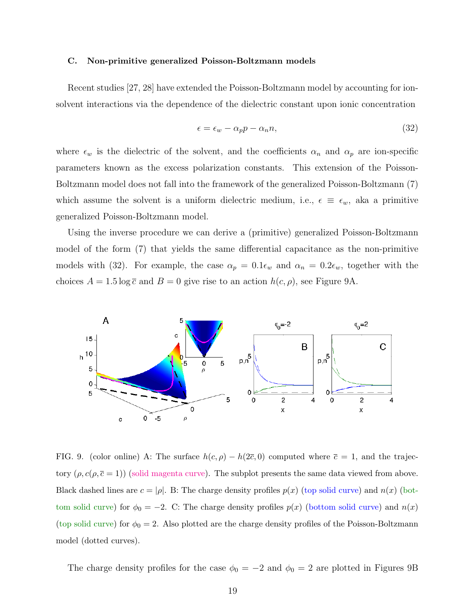# C. Non-primitive generalized Poisson-Boltzmann models

Recent studies [27, 28] have extended the Poisson-Boltzmann model by accounting for ionsolvent interactions via the dependence of the dielectric constant upon ionic concentration

$$
\epsilon = \epsilon_w - \alpha_p p - \alpha_n n,\tag{32}
$$

where  $\epsilon_w$  is the dielectric of the solvent, and the coefficients  $\alpha_n$  and  $\alpha_p$  are ion-specific parameters known as the excess polarization constants. This extension of the Poisson-Boltzmann model does not fall into the framework of the generalized Poisson-Boltzmann (7) which assume the solvent is a uniform dielectric medium, i.e.,  $\epsilon \equiv \epsilon_w$ , aka a primitive generalized Poisson-Boltzmann model.

Using the inverse procedure we can derive a (primitive) generalized Poisson-Boltzmann model of the form (7) that yields the same differential capacitance as the non-primitive models with (32). For example, the case  $\alpha_p = 0.1\epsilon_w$  and  $\alpha_n = 0.2\epsilon_w$ , together with the choices  $A = 1.5 \log \overline{c}$  and  $B = 0$  give rise to an action  $h(c, \rho)$ , see Figure 9A.



FIG. 9. (color online) A: The surface  $h(c, \rho) - h(2\overline{c}, 0)$  computed where  $\overline{c} = 1$ , and the trajectory  $(\rho, c(\rho, \bar{c} = 1))$  (solid magenta curve). The subplot presents the same data viewed from above. Black dashed lines are  $c = |\rho|$ . B: The charge density profiles  $p(x)$  (top solid curve) and  $n(x)$  (bottom solid curve) for  $\phi_0 = -2$ . C: The charge density profiles  $p(x)$  (bottom solid curve) and  $n(x)$ (top solid curve) for  $\phi_0 = 2$ . Also plotted are the charge density profiles of the Poisson-Boltzmann model (dotted curves).

The charge density profiles for the case  $\phi_0 = -2$  and  $\phi_0 = 2$  are plotted in Figures 9B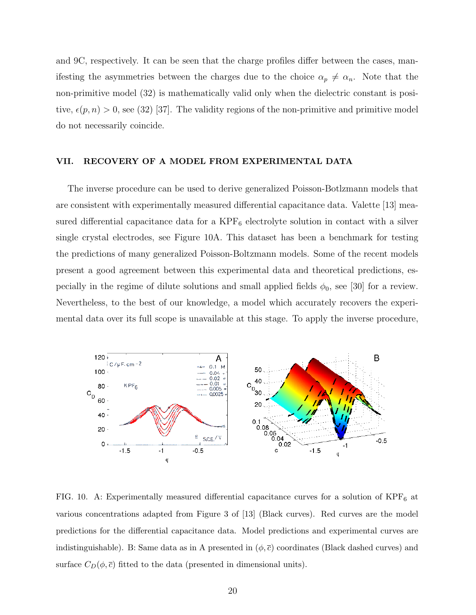and 9C, respectively. It can be seen that the charge profiles differ between the cases, manifesting the asymmetries between the charges due to the choice  $\alpha_p \neq \alpha_n$ . Note that the non-primitive model (32) is mathematically valid only when the dielectric constant is positive,  $\epsilon(p, n) > 0$ , see (32) [37]. The validity regions of the non-primitive and primitive model do not necessarily coincide.

# VII. RECOVERY OF A MODEL FROM EXPERIMENTAL DATA

The inverse procedure can be used to derive generalized Poisson-Botlzmann models that are consistent with experimentally measured differential capacitance data. Valette [13] measured differential capacitance data for a  $KPF_6$  electrolyte solution in contact with a silver single crystal electrodes, see Figure 10A. This dataset has been a benchmark for testing the predictions of many generalized Poisson-Boltzmann models. Some of the recent models present a good agreement between this experimental data and theoretical predictions, especially in the regime of dilute solutions and small applied fields  $\phi_0$ , see [30] for a review. Nevertheless, to the best of our knowledge, a model which accurately recovers the experimental data over its full scope is unavailable at this stage. To apply the inverse procedure,



FIG. 10. A: Experimentally measured differential capacitance curves for a solution of  $KPF_6$  at various concentrations adapted from Figure 3 of [13] (Black curves). Red curves are the model predictions for the differential capacitance data. Model predictions and experimental curves are indistinguishable). B: Same data as in A presented in  $(\phi, \bar{c})$  coordinates (Black dashed curves) and surface  $C_D(\phi, \bar{c})$  fitted to the data (presented in dimensional units).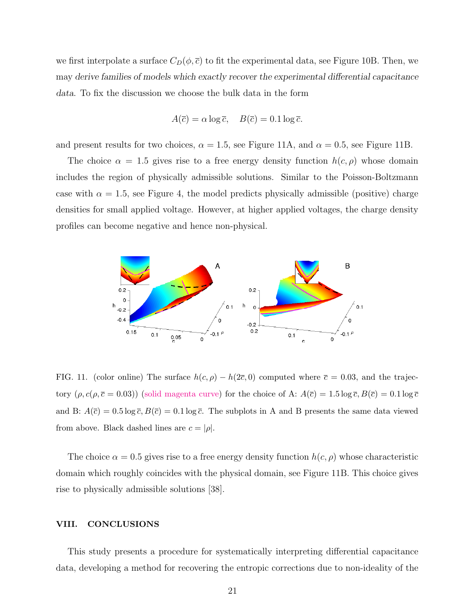we first interpolate a surface  $C_D(\phi, \bar{c})$  to fit the experimental data, see Figure 10B. Then, we may derive families of models which exactly recover the experimental differential capacitance data. To fix the discussion we choose the bulk data in the form

$$
A(\overline{c}) = \alpha \log \overline{c}, \quad B(\overline{c}) = 0.1 \log \overline{c}.
$$

and present results for two choices,  $\alpha = 1.5$ , see Figure 11A, and  $\alpha = 0.5$ , see Figure 11B.

The choice  $\alpha = 1.5$  gives rise to a free energy density function  $h(c, \rho)$  whose domain includes the region of physically admissible solutions. Similar to the Poisson-Boltzmann case with  $\alpha = 1.5$ , see Figure 4, the model predicts physically admissible (positive) charge densities for small applied voltage. However, at higher applied voltages, the charge density profiles can become negative and hence non-physical.



FIG. 11. (color online) The surface  $h(c, \rho) - h(2\overline{c}, 0)$  computed where  $\overline{c} = 0.03$ , and the trajectory  $(\rho, c(\rho, \bar{c} = 0.03))$  (solid magenta curve) for the choice of A:  $A(\bar{c}) = 1.5 \log \bar{c}$ ,  $B(\bar{c}) = 0.1 \log \bar{c}$ and B:  $A(\bar{c}) = 0.5 \log \bar{c}$ ,  $B(\bar{c}) = 0.1 \log \bar{c}$ . The subplots in A and B presents the same data viewed from above. Black dashed lines are  $c = |\rho|$ .

The choice  $\alpha = 0.5$  gives rise to a free energy density function  $h(c, \rho)$  whose characteristic domain which roughly coincides with the physical domain, see Figure 11B. This choice gives rise to physically admissible solutions [38].

# VIII. CONCLUSIONS

This study presents a procedure for systematically interpreting differential capacitance data, developing a method for recovering the entropic corrections due to non-ideality of the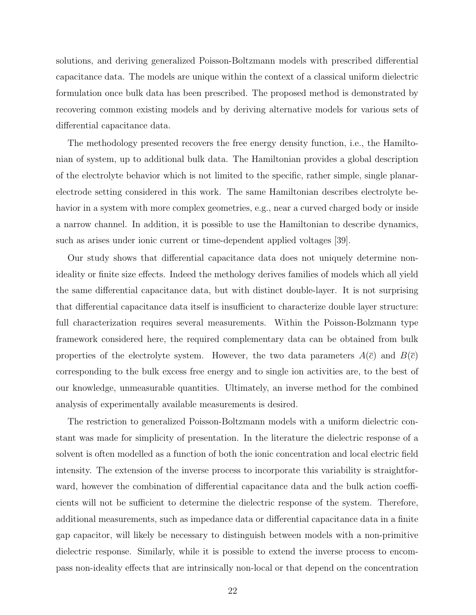solutions, and deriving generalized Poisson-Boltzmann models with prescribed differential capacitance data. The models are unique within the context of a classical uniform dielectric formulation once bulk data has been prescribed. The proposed method is demonstrated by recovering common existing models and by deriving alternative models for various sets of differential capacitance data.

The methodology presented recovers the free energy density function, i.e., the Hamiltonian of system, up to additional bulk data. The Hamiltonian provides a global description of the electrolyte behavior which is not limited to the specific, rather simple, single planarelectrode setting considered in this work. The same Hamiltonian describes electrolyte behavior in a system with more complex geometries, e.g., near a curved charged body or inside a narrow channel. In addition, it is possible to use the Hamiltonian to describe dynamics, such as arises under ionic current or time-dependent applied voltages [39].

Our study shows that differential capacitance data does not uniquely determine nonideality or finite size effects. Indeed the methology derives families of models which all yield the same differential capacitance data, but with distinct double-layer. It is not surprising that differential capacitance data itself is insufficient to characterize double layer structure: full characterization requires several measurements. Within the Poisson-Bolzmann type framework considered here, the required complementary data can be obtained from bulk properties of the electrolyte system. However, the two data parameters  $A(\bar{c})$  and  $B(\bar{c})$ corresponding to the bulk excess free energy and to single ion activities are, to the best of our knowledge, unmeasurable quantities. Ultimately, an inverse method for the combined analysis of experimentally available measurements is desired.

The restriction to generalized Poisson-Boltzmann models with a uniform dielectric constant was made for simplicity of presentation. In the literature the dielectric response of a solvent is often modelled as a function of both the ionic concentration and local electric field intensity. The extension of the inverse process to incorporate this variability is straightforward, however the combination of differential capacitance data and the bulk action coefficients will not be sufficient to determine the dielectric response of the system. Therefore, additional measurements, such as impedance data or differential capacitance data in a finite gap capacitor, will likely be necessary to distinguish between models with a non-primitive dielectric response. Similarly, while it is possible to extend the inverse process to encompass non-ideality effects that are intrinsically non-local or that depend on the concentration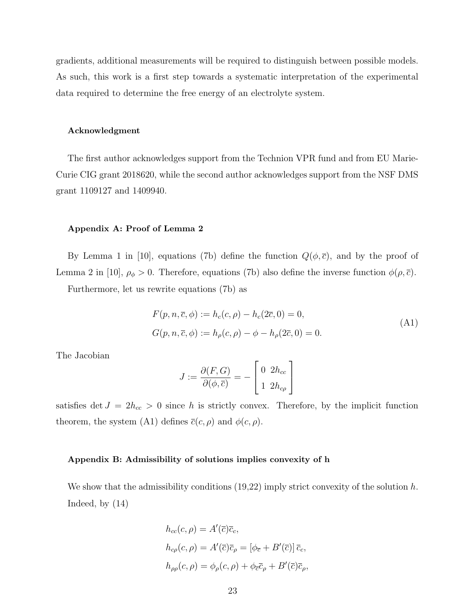gradients, additional measurements will be required to distinguish between possible models. As such, this work is a first step towards a systematic interpretation of the experimental data required to determine the free energy of an electrolyte system.

# Acknowledgment

The first author acknowledges support from the Technion VPR fund and from EU Marie-Curie CIG grant 2018620, while the second author acknowledges support from the NSF DMS grant 1109127 and 1409940.

# Appendix A: Proof of Lemma 2

By Lemma 1 in [10], equations (7b) define the function  $Q(\phi, \bar{c})$ , and by the proof of Lemma 2 in [10],  $\rho_{\phi} > 0$ . Therefore, equations (7b) also define the inverse function  $\phi(\rho, \overline{c})$ .

Furthermore, let us rewrite equations (7b) as

$$
F(p, n, \overline{c}, \phi) := h_c(c, \rho) - h_c(2\overline{c}, 0) = 0,
$$
  
\n
$$
G(p, n, \overline{c}, \phi) := h_\rho(c, \rho) - \phi - h_\rho(2\overline{c}, 0) = 0.
$$
\n(A1)

The Jacobian

$$
J := \frac{\partial(F, G)}{\partial(\phi, \overline{c})} = -\begin{bmatrix} 0 & 2h_{cc} \\ 1 & 2h_{c\rho} \end{bmatrix}
$$

satisfies det  $J = 2h_{cc} > 0$  since h is strictly convex. Therefore, by the implicit function theorem, the system (A1) defines  $\overline{c}(c, \rho)$  and  $\phi(c, \rho)$ .

# Appendix B: Admissibility of solutions implies convexity of h

We show that the admissibility conditions  $(19,22)$  imply strict convexity of the solution h. Indeed, by (14)

$$
h_{cc}(c,\rho) = A'(\overline{c})\overline{c}_c,
$$
  
\n
$$
h_{c\rho}(c,\rho) = A'(\overline{c})\overline{c}_{\rho} = [\phi_{\overline{c}} + B'(\overline{c})]\overline{c}_c,
$$
  
\n
$$
h_{\rho\rho}(c,\rho) = \phi_{\rho}(c,\rho) + \phi_{\overline{c}}\overline{c}_{\rho} + B'(\overline{c})\overline{c}_{\rho},
$$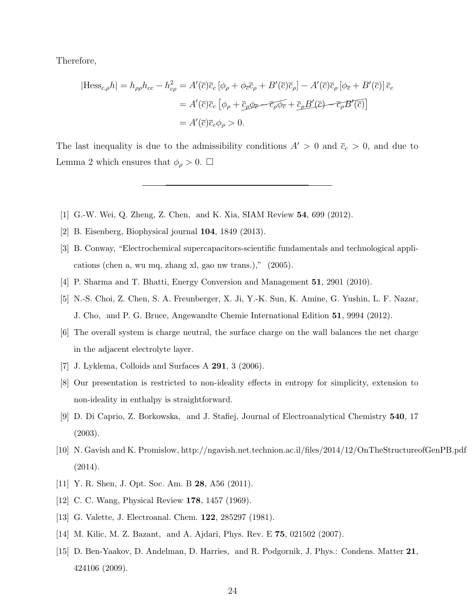Therefore,

$$
|\text{Hess}_{c,\rho}h| = h_{\rho\rho}h_{cc} - h_{c\rho}^2 = A'(\overline{c})\overline{c}_c[\phi_{\rho} + \phi_{\overline{c}}\overline{c}_{\rho} + B'(\overline{c})\overline{c}_{\rho}] - A'(\overline{c})\overline{c}_{\rho}[\phi_{\overline{c}} + B'(\overline{c})]\overline{c}_c
$$

$$
= A'(\overline{c})\overline{c}_c[\phi_{\rho} + \overline{c}_{\rho}\phi_{\overline{c}} - \overline{c}_{\rho}\overline{\phi_{\overline{c}}} + \overline{c}_{\rho}B'(\overline{c}) - \overline{c}_{\rho}B'(\overline{c})]
$$

$$
= A'(\overline{c})\overline{c}_c\phi_{\rho} > 0.
$$

The last inequality is due to the admissibility conditions  $A' > 0$  and  $\bar{c}_c > 0$ , and due to Lemma 2 which ensures that  $\phi_{\rho} > 0$ .  $\Box$ 

- [1] G.-W. Wei, Q. Zheng, Z. Chen, and K. Xia, SIAM Review 54, 699 (2012).
- [2] B. Eisenberg, Biophysical journal 104, 1849 (2013).
- [3] B. Conway, "Electrochemical supercapacitors-scientific fundamentals and technological applications (chen a, wu mq, zhang xl, gao nw trans.)," (2005).
- [4] P. Sharma and T. Bhatti, Energy Conversion and Management 51, 2901 (2010).
- [5] N.-S. Choi, Z. Chen, S. A. Freunberger, X. Ji, Y.-K. Sun, K. Amine, G. Yushin, L. F. Nazar, J. Cho, and P. G. Bruce, Angewandte Chemie International Edition 51, 9994 (2012).
- [6] The overall system is charge neutral, the surface charge on the wall balances the net charge in the adjacent electrolyte layer.
- [7] J. Lyklema, Colloids and Surfaces A 291, 3 (2006).
- [8] Our presentation is restricted to non-ideality effects in entropy for simplicity, extension to non-ideality in enthalpy is straightforward.
- [9] D. Di Caprio, Z. Borkowska, and J. Stafiej, Journal of Electroanalytical Chemistry 540, 17 (2003).
- [10] N. Gavish and K. Promislow, http://ngavish.net.technion.ac.il/files/2014/12/OnTheStructureofGenPB.pdf (2014).
- [11] Y. R. Shen, J. Opt. Soc. Am. B 28, A56 (2011).
- [12] C. C. Wang, Physical Review **178**, 1457 (1969).
- [13] G. Valette, J. Electroanal. Chem. **122**, 285297 (1981).
- [14] M. Kilic, M. Z. Bazant, and A. Ajdari, Phys. Rev. E 75, 021502 (2007).
- [15] D. Ben-Yaakov, D. Andelman, D. Harries, and R. Podgornik, J. Phys.: Condens. Matter 21, 424106 (2009).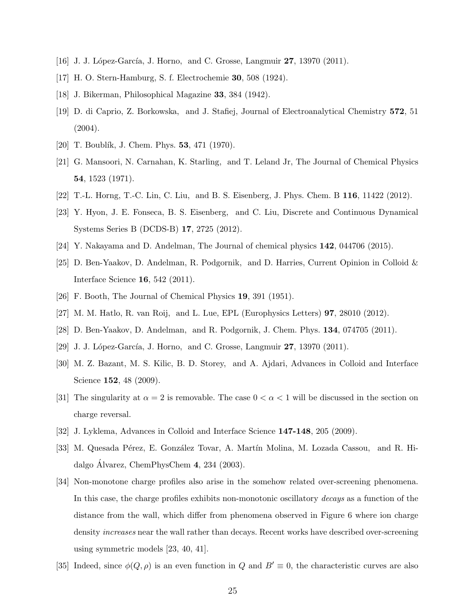- [16] J. J. López-García, J. Horno, and C. Grosse, Langmuir  $27$ , 13970 (2011).
- [17] H. O. Stern-Hamburg, S. f. Electrochemie 30, 508 (1924).
- [18] J. Bikerman, Philosophical Magazine 33, 384 (1942).
- [19] D. di Caprio, Z. Borkowska, and J. Stafiej, Journal of Electroanalytical Chemistry 572, 51 (2004).
- [20] T. Boublík, J. Chem. Phys.  $53, 471$  (1970).
- [21] G. Mansoori, N. Carnahan, K. Starling, and T. Leland Jr, The Journal of Chemical Physics 54, 1523 (1971).
- [22] T.-L. Horng, T.-C. Lin, C. Liu, and B. S. Eisenberg, J. Phys. Chem. B 116, 11422 (2012).
- [23] Y. Hyon, J. E. Fonseca, B. S. Eisenberg, and C. Liu, Discrete and Continuous Dynamical Systems Series B (DCDS-B) 17, 2725 (2012).
- [24] Y. Nakayama and D. Andelman, The Journal of chemical physics 142, 044706 (2015).
- [25] D. Ben-Yaakov, D. Andelman, R. Podgornik, and D. Harries, Current Opinion in Colloid & Interface Science 16, 542 (2011).
- [26] F. Booth, The Journal of Chemical Physics 19, 391 (1951).
- [27] M. M. Hatlo, R. van Roij, and L. Lue, EPL (Europhysics Letters) 97, 28010 (2012).
- [28] D. Ben-Yaakov, D. Andelman, and R. Podgornik, J. Chem. Phys. 134, 074705 (2011).
- [29] J. J. López-García, J. Horno, and C. Grosse, Langmuir  $27$ , 13970 (2011).
- [30] M. Z. Bazant, M. S. Kilic, B. D. Storey, and A. Ajdari, Advances in Colloid and Interface Science **152**, 48 (2009).
- [31] The singularity at  $\alpha = 2$  is removable. The case  $0 < \alpha < 1$  will be discussed in the section on charge reversal.
- [32] J. Lyklema, Advances in Colloid and Interface Science 147-148, 205 (2009).
- [33] M. Quesada Pérez, E. González Tovar, A. Martín Molina, M. Lozada Cassou, and R. Hidalgo Álvarez, ChemPhysChem  $4, 234$  (2003).
- [34] Non-monotone charge profiles also arise in the somehow related over-screening phenomena. In this case, the charge profiles exhibits non-monotonic oscillatory *decays* as a function of the distance from the wall, which differ from phenomena observed in Figure 6 where ion charge density increases near the wall rather than decays. Recent works have described over-screening using symmetric models [23, 40, 41].
- [35] Indeed, since  $\phi(Q, \rho)$  is an even function in Q and  $B' \equiv 0$ , the characteristic curves are also